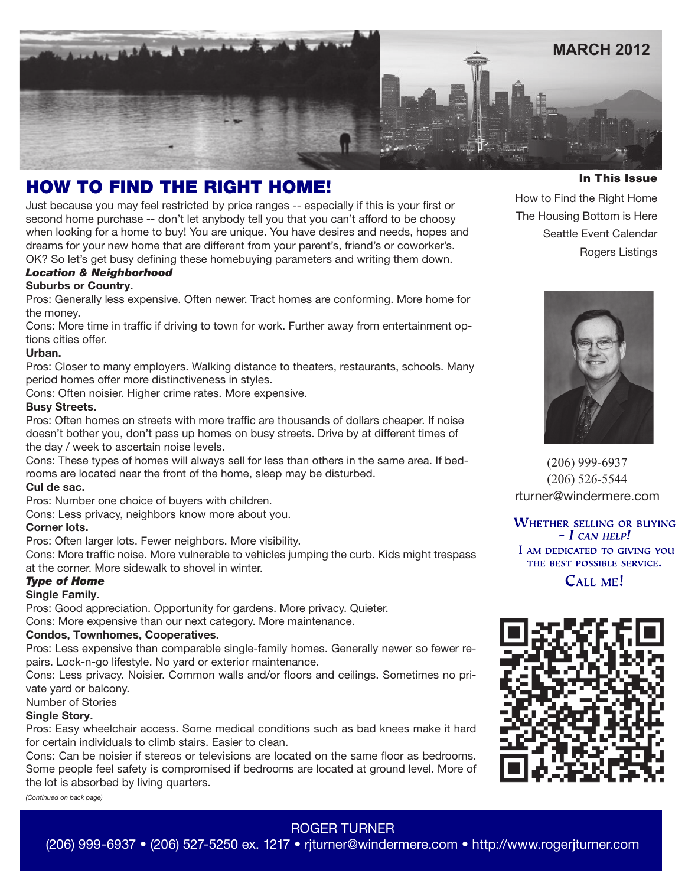

# HOW TO FIND THE RIGHT HOME!

Just because you may feel restricted by price ranges -- especially if this is your first or second home purchase -- don't let anybody tell you that you can't afford to be choosy when looking for a home to buy! You are unique. You have desires and needs, hopes and dreams for your new home that are different from your parent's, friend's or coworker's.

OK? So let's get busy defining these homebuying parameters and writing them down.

# *Location & Neighborhood*

## **Suburbs or Country.**

Pros: Generally less expensive. Often newer. Tract homes are conforming. More home for the money.

Cons: More time in traffic if driving to town for work. Further away from entertainment options cities offer.

## **Urban.**

Pros: Closer to many employers. Walking distance to theaters, restaurants, schools. Many period homes offer more distinctiveness in styles.

Cons: Often noisier. Higher crime rates. More expensive.

## **Busy Streets.**

Pros: Often homes on streets with more traffic are thousands of dollars cheaper. If noise doesn't bother you, don't pass up homes on busy streets. Drive by at different times of the day / week to ascertain noise levels.

Cons: These types of homes will always sell for less than others in the same area. If bedrooms are located near the front of the home, sleep may be disturbed.

## **Cul de sac.**

Pros: Number one choice of buyers with children.

Cons: Less privacy, neighbors know more about you.

## **Corner lots.**

Pros: Often larger lots. Fewer neighbors. More visibility.

Cons: More traffic noise. More vulnerable to vehicles jumping the curb. Kids might trespass at the corner. More sidewalk to shovel in winter.

## *Type of Home*

#### **Single Family.**

Pros: Good appreciation. Opportunity for gardens. More privacy. Quieter. Cons: More expensive than our next category. More maintenance.

## **Condos, Townhomes, Cooperatives.**

Pros: Less expensive than comparable single-family homes. Generally newer so fewer repairs. Lock-n-go lifestyle. No yard or exterior maintenance.

Cons: Less privacy. Noisier. Common walls and/or floors and ceilings. Sometimes no private yard or balcony.

## Number of Stories

## **Single Story.**

Pros: Easy wheelchair access. Some medical conditions such as bad knees make it hard for certain individuals to climb stairs. Easier to clean.

Cons: Can be noisier if stereos or televisions are located on the same floor as bedrooms. Some people feel safety is compromised if bedrooms are located at ground level. More of the lot is absorbed by living quarters.

*(Continued on back page)*

In This Issue

How to Find the Right Home The Housing Bottom is Here Seattle Event Calendar Rogers Listings



(206) 999-6937 (206) 526-5544 rturner@windermere.com

**WHETHER SELLING OR BUYING**  $-$  I CAN HELP! I AM DEDICATED TO GIVING YOU THE BEST POSSIBLE SERVICE.

CALL ME!



# ROGER TURNER

(206) 999-6937 • (206) 527-5250 ex. 1217 • rjturner@windermere.com • http://www.rogerjturner.com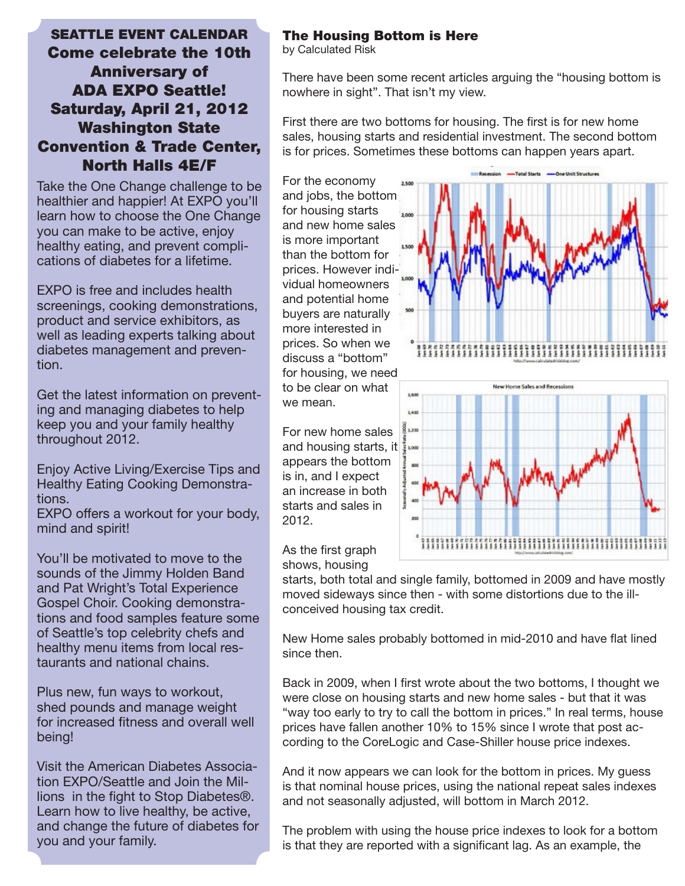# SEATTLE EVENT CALENDAR Come celebrate the 10th Anniversary of ADA EXPO Seattle! Saturday, April 21, 2012 Washington State Convention & Trade Center, North Halls 4E/F

Take the One Change challenge to be healthier and happier! At EXPO you'll learn how to choose the One Change you can make to be active, enjoy healthy eating, and prevent complications of diabetes for a lifetime.

EXPO is free and includes health screenings, cooking demonstrations, product and service exhibitors, as well as leading experts talking about diabetes management and prevention.

Get the latest information on preventing and managing diabetes to help keep you and your family healthy throughout 2012.

Enjoy Active Living/Exercise Tips and Healthy Eating Cooking Demonstrations.

EXPO offers a workout for your body, mind and spirit!

You'll be motivated to move to the sounds of the Jimmy Holden Band and Pat Wright's Total Experience Gospel Choir. Cooking demonstrations and food samples feature some of Seattle's top celebrity chefs and healthy menu items from local restaurants and national chains.

Plus new, fun ways to workout, shed pounds and manage weight for increased fitness and overall well being!

Visit the American Diabetes Association EXPO/Seattle and Join the Millions in the fight to Stop Diabetes®. Learn how to live healthy, be active, and change the future of diabetes for you and your family.

## The Housing Bottom is Here

by Calculated Risk

There have been some recent articles arguing the "housing bottom is nowhere in sight". That isn't my view.

First there are two bottoms for housing. The first is for new home sales, housing starts and residential investment. The second bottom is for prices. Sometimes these bottoms can happen years apart.

For the economy and jobs, the bottom for housing starts and new home sales is more important than the bottom for prices. However individual homeowners and potential home buyers are naturally more interested in prices. So when we discuss a "bottom" for housing, we need to be clear on what we mean.







As the first graph shows, housing

starts, both total and single family, bottomed in 2009 and have mostly moved sideways since then - with some distortions due to the illconceived housing tax credit.

New Home sales probably bottomed in mid-2010 and have flat lined since then.

Back in 2009, when I first wrote about the two bottoms, I thought we were close on housing starts and new home sales - but that it was "way too early to try to call the bottom in prices." In real terms, house prices have fallen another 10% to 15% since I wrote that post according to the CoreLogic and Case-Shiller house price indexes.

And it now appears we can look for the bottom in prices. My guess is that nominal house prices, using the national repeat sales indexes and not seasonally adjusted, will bottom in March 2012.

The problem with using the house price indexes to look for a bottom is that they are reported with a significant lag. As an example, the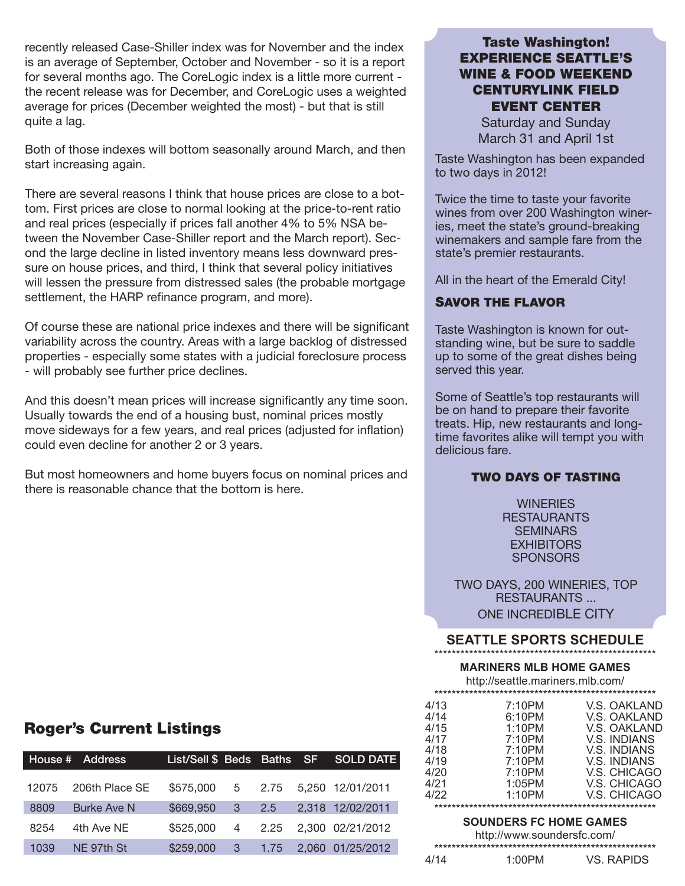recently released Case-Shiller index was for November and the index is an average of September, October and November - so it is a report for several months ago. The CoreLogic index is a little more current the recent release was for December, and CoreLogic uses a weighted average for prices (December weighted the most) - but that is still quite a lag.

Both of those indexes will bottom seasonally around March, and then start increasing again.

There are several reasons I think that house prices are close to a bottom. First prices are close to normal looking at the price-to-rent ratio and real prices (especially if prices fall another 4% to 5% NSA between the November Case-Shiller report and the March report). Second the large decline in listed inventory means less downward pressure on house prices, and third, I think that several policy initiatives will lessen the pressure from distressed sales (the probable mortgage settlement, the HARP refinance program, and more).

Of course these are national price indexes and there will be significant variability across the country. Areas with a large backlog of distressed properties - especially some states with a judicial foreclosure process - will probably see further price declines.

And this doesn't mean prices will increase significantly any time soon. Usually towards the end of a housing bust, nominal prices mostly move sideways for a few years, and real prices (adjusted for inflation) could even decline for another 2 or 3 years.

But most homeowners and home buyers focus on nominal prices and there is reasonable chance that the bottom is here.

## **Taste Washington! EXPERIENCE SEATTLE'S WINE & FOOD WEEKEND CENTURYLINK FIELD EVENT CENTER**

**Saturday and Sunday** March 31 and April 1st

Taste Washington has been expanded to two days in 2012!

Twice the time to taste your favorite wines from over 200 Washington wineries, meet the state's ground-breaking winemakers and sample fare from the state's premier restaurants.

All in the heart of the Emerald City!

## **SAVOR THE FLAVOR**

Taste Washington is known for outstanding wine, but be sure to saddle up to some of the great dishes being served this year.

Some of Seattle's top restaurants will be on hand to prepare their favorite treats. Hip, new restaurants and longtime favorites alike will tempt you with delicious fare.

## **TWO DAYS OF TASTING**

**WINERIES RESTAURANTS SEMINARS EXHIBITORS SPONSORS** 

TWO DAYS, 200 WINERIES, TOP **RESTAURANTS...** ONE INCREDIBLE CITY

## **SEATTLE SPORTS SCHEDULE**

## **MARINERS MLB HOME GAMES**

http://seattle.mariners.mlb.com/

| 4/13 | 7:10PM | V.S. OAKLAND |  |  |  |  |  |
|------|--------|--------------|--|--|--|--|--|
| 4/14 | 6:10PM | V.S. OAKLAND |  |  |  |  |  |
| 4/15 | 1:10PM | V.S. OAKLAND |  |  |  |  |  |
| 4/17 | 7:10PM | V.S. INDIANS |  |  |  |  |  |
| 4/18 | 7:10PM | V.S. INDIANS |  |  |  |  |  |
| 4/19 | 7:10PM | V.S. INDIANS |  |  |  |  |  |
| 4/20 | 7:10PM | V.S. CHICAGO |  |  |  |  |  |
| 4/21 | 1:05PM | V.S. CHICAGO |  |  |  |  |  |
| 4/22 | 1:10PM | V.S. CHICAGO |  |  |  |  |  |
|      |        |              |  |  |  |  |  |

## SOUNDERS FC HOME GAMES

|      | http://www.soundersfc.com/ |            |  |  |  |  |  |
|------|----------------------------|------------|--|--|--|--|--|
|      |                            |            |  |  |  |  |  |
| 4/14 | 1:00PM                     | VS. RAPIDS |  |  |  |  |  |

# **Roger's Current Listings**

|       | House # Address    |           |              |        | List/Sell \$ Beds Baths SF SOLD DATE |
|-------|--------------------|-----------|--------------|--------|--------------------------------------|
| 12075 | 206th Place SE     | \$575,000 |              | 5 2.75 | 5,250 12/01/2011                     |
| 8809  | <b>Burke Ave N</b> | \$669,950 | $3\quad 2.5$ |        | 2,318 12/02/2011                     |
| 8254  | 4th Ave NE         | \$525,000 | 4            | 2.25   | 2,300 02/21/2012                     |
| 1039  | NE 97th St         | \$259,000 | -3           | 1.75   | 2,060 01/25/2012                     |